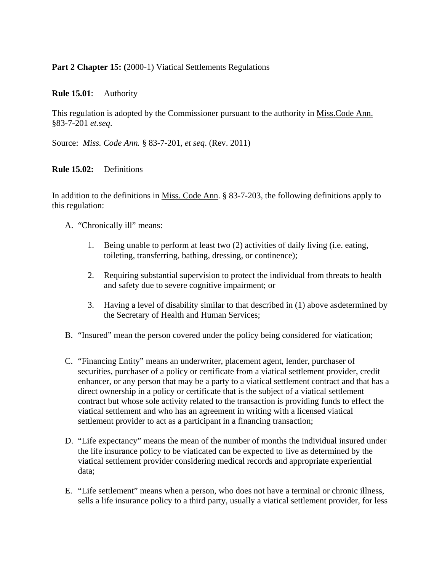## Part 2 Chapter 15: (2000-1) Viatical Settlements Regulations

#### **Rule 15.01**: Authority

This regulation is adopted by the Commissioner pursuant to the authority in Miss.Code Ann. §83-7-201 *et.seq*.

## Source: *Miss. Code Ann.* § 83-7-201, *et seq*. (Rev. 2011)

#### **Rule 15.02:** Definitions

In addition to the definitions in Miss. Code Ann. § 83-7-203, the following definitions apply to this regulation:

- A. "Chronically ill" means:
	- 1. Being unable to perform at least two (2) activities of daily living (i.e. eating, toileting, transferring, bathing, dressing, or continence);
	- 2. Requiring substantial supervision to protect the individual from threats to health and safety due to severe cognitive impairment; or
	- 3. Having a level of disability similar to that described in (1) above as determined by the Secretary of Health and Human Services;
- B. "Insured" mean the person covered under the policy being considered for viatication;
- C. "Financing Entity" means an underwriter, placement agent, lender, purchaser of securities, purchaser of a policy or certificate from a viatical settlement provider, credit enhancer, or any person that may be a party to a viatical settlement contract and that has a direct ownership in a policy or certificate that is the subject of a viatical settlement contract but whose sole activity related to the transaction is providing funds to effect the viatical settlement and who has an agreement in writing with a licensed viatical settlement provider to act as a participant in a financing transaction;
- D. "Life expectancy" means the mean of the number of months the individual insured under the life insurance policy to be viaticated can be expected to live as determined by the viatical settlement provider considering medical records and appropriate experiential data;
- E. "Life settlement" means when a person, who does not have a terminal or chronic illness, sells a life insurance policy to a third party, usually a viatical settlement provider, for less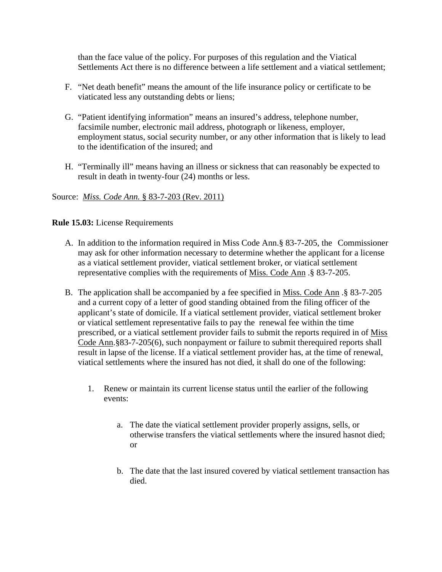than the face value of the policy. For purposes of this regulation and the Viatical Settlements Act there is no difference between a life settlement and a viatical settlement;

- F. "Net death benefit" means the amount of the life insurance policy or certificate to be viaticated less any outstanding debts or liens;
- G. "Patient identifying information" means an insured's address, telephone number, facsimile number, electronic mail address, photograph or likeness, employer, employment status, social security number, or any other information that is likely to lead to the identification of the insured; and
- H. "Terminally ill" means having an illness or sickness that can reasonably be expected to result in death in twenty-four (24) months or less.

#### Source: *Miss. Code Ann.* § 83-7-203 (Rev. 2011)

**Rule 15.03:** License Requirements

- A. In addition to the information required in Miss Code Ann.§ 83-7-205, the Commissioner may ask for other information necessary to determine whether the applicant for a license as a viatical settlement provider, viatical settlement broker, or viatical settlement representative complies with the requirements of Miss. Code Ann .§ 83-7-205.
- B. The application shall be accompanied by a fee specified in Miss. Code Ann .§ 83-7-205 and a current copy of a letter of good standing obtained from the filing officer of the applicant's state of domicile. If a viatical settlement provider, viatical settlement broker or viatical settlement representative fails to pay the renewal fee within the time prescribed, or a viatical settlement provider fails to submit the reports required in of Miss Code Ann.§83-7-205(6), such nonpayment or failure to submit therequired reports shall result in lapse of the license. If a viatical settlement provider has, at the time of renewal, viatical settlements where the insured has not died, it shall do one of the following:
	- 1. Renew or maintain its current license status until the earlier of the following events:
		- a. The date the viatical settlement provider properly assigns, sells, or otherwise transfers the viatical settlements where the insured hasnot died; or
		- b. The date that the last insured covered by viatical settlement transaction has died.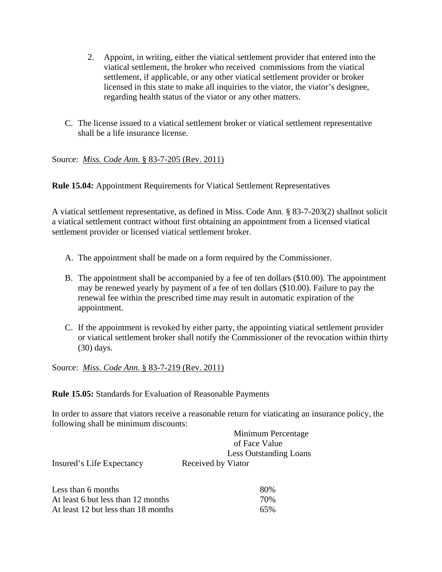- 2. Appoint, in writing, either the viatical settlement provider that entered into the viatical settlement, the broker who received commissions from the viatical settlement, if applicable, or any other viatical settlement provider or broker licensed in this state to make all inquiries to the viator, the viator's designee, regarding health status of the viator or any other matters.
- C. The license issued to a viatical settlement broker or viatical settlement representative shall be a life insurance license.

Source: *Miss. Code Ann.* § 83-7-205 (Rev. 2011)

**Rule 15.04:** Appointment Requirements for Viatical Settlement Representatives

A viatical settlement representative, as defined in Miss. Code Ann. § 83-7-203(2) shallnot solicit a viatical settlement contract without first obtaining an appointment from a licensed viatical settlement provider or licensed viatical settlement broker.

- A. The appointment shall be made on a form required by the Commissioner.
- B. The appointment shall be accompanied by a fee of ten dollars (\$10.00). The appointment may be renewed yearly by payment of a fee of ten dollars (\$10.00). Failure to pay the renewal fee within the prescribed time may result in automatic expiration of the appointment.
- C. If the appointment is revoked by either party, the appointing viatical settlement provider or viatical settlement broker shall notify the Commissioner of the revocation within thirty (30) days.

Source: *Miss. Code Ann.* § 83-7-219 (Rev. 2011)

**Rule 15.05:** Standards for Evaluation of Reasonable Payments

In order to assure that viators receive a reasonable return for viaticating an insurance policy, the following shall be minimum discounts:

|                           | Minimum Percentage            |
|---------------------------|-------------------------------|
|                           | of Face Value                 |
|                           | <b>Less Outstanding Loans</b> |
| Insured's Life Expectancy | Received by Viator            |

| Less than 6 months                  | 80% |
|-------------------------------------|-----|
| At least 6 but less than 12 months  | 70% |
| At least 12 but less than 18 months | 65% |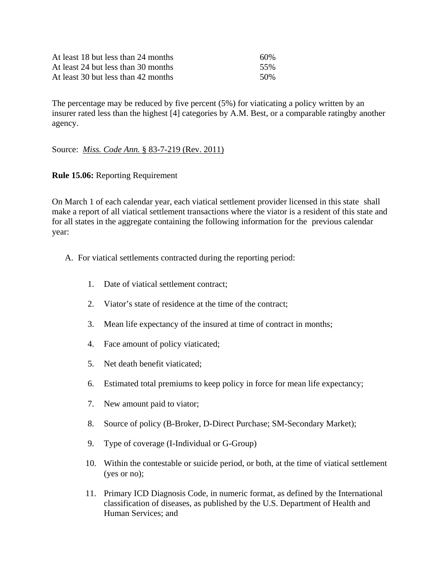| At least 18 but less than 24 months | 60% |
|-------------------------------------|-----|
| At least 24 but less than 30 months | 55% |
| At least 30 but less than 42 months | 50% |

The percentage may be reduced by five percent (5%) for viaticating a policy written by an insurer rated less than the highest [4] categories by A.M. Best, or a comparable ratingby another agency.

#### Source: *Miss. Code Ann.* § 83-7-219 (Rev. 2011)

#### **Rule 15.06:** Reporting Requirement

On March 1 of each calendar year, each viatical settlement provider licensed in this state shall make a report of all viatical settlement transactions where the viator is a resident of this state and for all states in the aggregate containing the following information for the previous calendar year:

- A. For viatical settlements contracted during the reporting period:
	- 1. Date of viatical settlement contract;
	- 2. Viator's state of residence at the time of the contract;
	- 3. Mean life expectancy of the insured at time of contract in months;
	- 4. Face amount of policy viaticated;
	- 5. Net death benefit viaticated;
	- 6. Estimated total premiums to keep policy in force for mean life expectancy;
	- 7. New amount paid to viator;
	- 8. Source of policy (B-Broker, D-Direct Purchase; SM-Secondary Market);
	- 9. Type of coverage (I-Individual or G-Group)
	- 10. Within the contestable or suicide period, or both, at the time of viatical settlement (yes or no);
	- 11. Primary ICD Diagnosis Code, in numeric format, as defined by the International classification of diseases, as published by the U.S. Department of Health and Human Services; and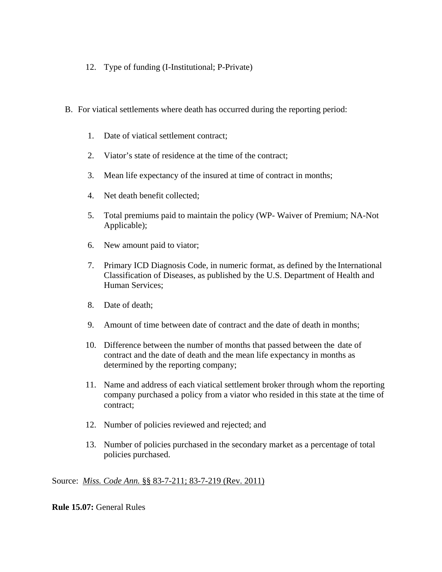- 12. Type of funding (I-Institutional; P-Private)
- B. For viatical settlements where death has occurred during the reporting period:
	- 1. Date of viatical settlement contract;
	- 2. Viator's state of residence at the time of the contract;
	- 3. Mean life expectancy of the insured at time of contract in months;
	- 4. Net death benefit collected;
	- 5. Total premiums paid to maintain the policy (WP- Waiver of Premium; NA-Not Applicable);
	- 6. New amount paid to viator;
	- 7. Primary ICD Diagnosis Code, in numeric format, as defined by the International Classification of Diseases, as published by the U.S. Department of Health and Human Services;
	- 8. Date of death;
	- 9. Amount of time between date of contract and the date of death in months;
	- 10. Difference between the number of months that passed between the date of contract and the date of death and the mean life expectancy in months as determined by the reporting company;
	- 11. Name and address of each viatical settlement broker through whom the reporting company purchased a policy from a viator who resided in this state at the time of contract;
	- 12. Number of policies reviewed and rejected; and
	- 13. Number of policies purchased in the secondary market as a percentage of total policies purchased.

#### Source: *Miss. Code Ann.* §§ 83-7-211; 83-7-219 (Rev. 2011)

**Rule 15.07:** General Rules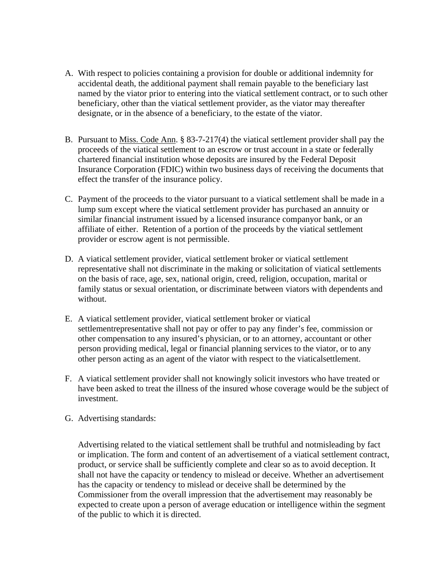- A. With respect to policies containing a provision for double or additional indemnity for accidental death, the additional payment shall remain payable to the beneficiary last named by the viator prior to entering into the viatical settlement contract, or to such other beneficiary, other than the viatical settlement provider, as the viator may thereafter designate, or in the absence of a beneficiary, to the estate of the viator.
- B. Pursuant to Miss. Code Ann. § 83-7-217(4) the viatical settlement provider shall pay the proceeds of the viatical settlement to an escrow or trust account in a state or federally chartered financial institution whose deposits are insured by the Federal Deposit Insurance Corporation (FDIC) within two business days of receiving the documents that effect the transfer of the insurance policy.
- C. Payment of the proceeds to the viator pursuant to a viatical settlement shall be made in a lump sum except where the viatical settlement provider has purchased an annuity or similar financial instrument issued by a licensed insurance companyor bank, or an affiliate of either. Retention of a portion of the proceeds by the viatical settlement provider or escrow agent is not permissible.
- D. A viatical settlement provider, viatical settlement broker or viatical settlement representative shall not discriminate in the making or solicitation of viatical settlements on the basis of race, age, sex, national origin, creed, religion, occupation, marital or family status or sexual orientation, or discriminate between viators with dependents and without.
- E. A viatical settlement provider, viatical settlement broker or viatical settlementrepresentative shall not pay or offer to pay any finder's fee, commission or other compensation to any insured's physician, or to an attorney, accountant or other person providing medical, legal or financial planning services to the viator, or to any other person acting as an agent of the viator with respect to the viaticalsettlement.
- F. A viatical settlement provider shall not knowingly solicit investors who have treated or have been asked to treat the illness of the insured whose coverage would be the subject of investment.
- G. Advertising standards:

 Advertising related to the viatical settlement shall be truthful and notmisleading by fact or implication. The form and content of an advertisement of a viatical settlement contract, product, or service shall be sufficiently complete and clear so as to avoid deception. It shall not have the capacity or tendency to mislead or deceive. Whether an advertisement has the capacity or tendency to mislead or deceive shall be determined by the Commissioner from the overall impression that the advertisement may reasonably be expected to create upon a person of average education or intelligence within the segment of the public to which it is directed.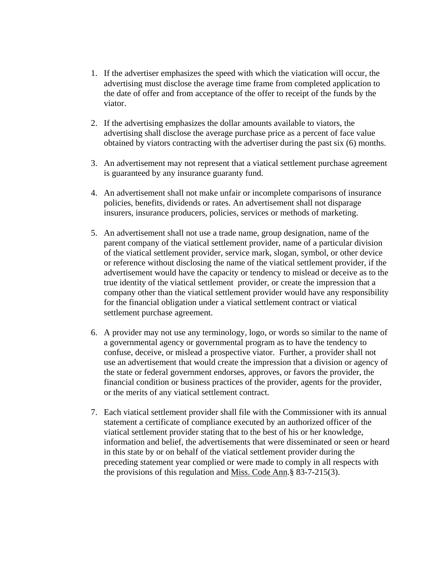- 1. If the advertiser emphasizes the speed with which the viatication will occur, the advertising must disclose the average time frame from completed application to the date of offer and from acceptance of the offer to receipt of the funds by the viator.
- 2. If the advertising emphasizes the dollar amounts available to viators, the advertising shall disclose the average purchase price as a percent of face value obtained by viators contracting with the advertiser during the past six (6) months.
- 3. An advertisement may not represent that a viatical settlement purchase agreement is guaranteed by any insurance guaranty fund.
- 4. An advertisement shall not make unfair or incomplete comparisons of insurance policies, benefits, dividends or rates. An advertisement shall not disparage insurers, insurance producers, policies, services or methods of marketing.
- 5. An advertisement shall not use a trade name, group designation, name of the parent company of the viatical settlement provider, name of a particular division of the viatical settlement provider, service mark, slogan, symbol, or other device or reference without disclosing the name of the viatical settlement provider, if the advertisement would have the capacity or tendency to mislead or deceive as to the true identity of the viatical settlement provider, or create the impression that a company other than the viatical settlement provider would have any responsibility for the financial obligation under a viatical settlement contract or viatical settlement purchase agreement.
- 6. A provider may not use any terminology, logo, or words so similar to the name of a governmental agency or governmental program as to have the tendency to confuse, deceive, or mislead a prospective viator. Further, a provider shall not use an advertisement that would create the impression that a division or agency of the state or federal government endorses, approves, or favors the provider, the financial condition or business practices of the provider, agents for the provider, or the merits of any viatical settlement contract.
- 7. Each viatical settlement provider shall file with the Commissioner with its annual statement a certificate of compliance executed by an authorized officer of the viatical settlement provider stating that to the best of his or her knowledge, information and belief, the advertisements that were disseminated or seen or heard in this state by or on behalf of the viatical settlement provider during the preceding statement year complied or were made to comply in all respects with the provisions of this regulation and Miss. Code Ann.§ 83-7-215(3).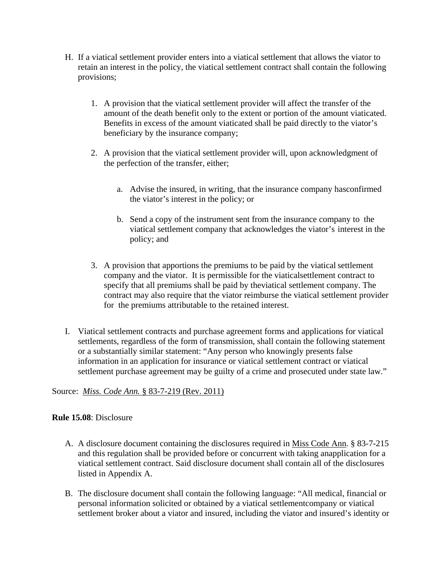- H. If a viatical settlement provider enters into a viatical settlement that allows the viator to retain an interest in the policy, the viatical settlement contract shall contain the following provisions;
	- 1. A provision that the viatical settlement provider will affect the transfer of the amount of the death benefit only to the extent or portion of the amount viaticated. Benefits in excess of the amount viaticated shall be paid directly to the viator's beneficiary by the insurance company;
	- 2. A provision that the viatical settlement provider will, upon acknowledgment of the perfection of the transfer, either;
		- a. Advise the insured, in writing, that the insurance company hasconfirmed the viator's interest in the policy; or
		- b. Send a copy of the instrument sent from the insurance company to the viatical settlement company that acknowledges the viator's interest in the policy; and
	- 3. A provision that apportions the premiums to be paid by the viatical settlement company and the viator. It is permissible for the viaticalsettlement contract to specify that all premiums shall be paid by theviatical settlement company. The contract may also require that the viator reimburse the viatical settlement provider for the premiums attributable to the retained interest.
- I. Viatical settlement contracts and purchase agreement forms and applications for viatical settlements, regardless of the form of transmission, shall contain the following statement or a substantially similar statement: "Any person who knowingly presents false information in an application for insurance or viatical settlement contract or viatical settlement purchase agreement may be guilty of a crime and prosecuted under state law."

## Source: *Miss. Code Ann.* § 83-7-219 (Rev. 2011)

#### **Rule 15.08**: Disclosure

- A. A disclosure document containing the disclosures required in Miss Code Ann. § 83-7-215 and this regulation shall be provided before or concurrent with taking anapplication for a viatical settlement contract. Said disclosure document shall contain all of the disclosures listed in Appendix A.
- B. The disclosure document shall contain the following language: "All medical, financial or personal information solicited or obtained by a viatical settlementcompany or viatical settlement broker about a viator and insured, including the viator and insured's identity or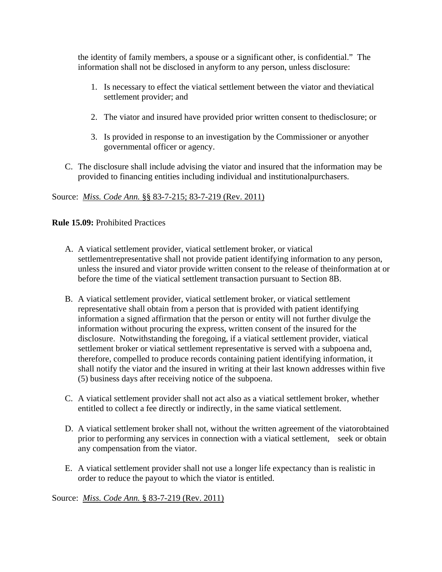the identity of family members, a spouse or a significant other, is confidential." The information shall not be disclosed in anyform to any person, unless disclosure:

- 1. Is necessary to effect the viatical settlement between the viator and theviatical settlement provider; and
- 2. The viator and insured have provided prior written consent to thedisclosure; or
- 3. Is provided in response to an investigation by the Commissioner or anyother governmental officer or agency.
- C. The disclosure shall include advising the viator and insured that the information may be provided to financing entities including individual and institutionalpurchasers.

## Source: *Miss. Code Ann.* §§ 83-7-215; 83-7-219 (Rev. 2011)

## **Rule 15.09:** Prohibited Practices

- A. A viatical settlement provider, viatical settlement broker, or viatical settlementrepresentative shall not provide patient identifying information to any person, unless the insured and viator provide written consent to the release of theinformation at or before the time of the viatical settlement transaction pursuant to Section 8B.
- B. A viatical settlement provider, viatical settlement broker, or viatical settlement representative shall obtain from a person that is provided with patient identifying information a signed affirmation that the person or entity will not further divulge the information without procuring the express, written consent of the insured for the disclosure. Notwithstanding the foregoing, if a viatical settlement provider, viatical settlement broker or viatical settlement representative is served with a subpoena and, therefore, compelled to produce records containing patient identifying information, it shall notify the viator and the insured in writing at their last known addresses within five (5) business days after receiving notice of the subpoena.
- C. A viatical settlement provider shall not act also as a viatical settlement broker, whether entitled to collect a fee directly or indirectly, in the same viatical settlement.
- D. A viatical settlement broker shall not, without the written agreement of the viatorobtained prior to performing any services in connection with a viatical settlement, seek or obtain any compensation from the viator.
- E. A viatical settlement provider shall not use a longer life expectancy than is realistic in order to reduce the payout to which the viator is entitled.

Source: *Miss. Code Ann.* § 83-7-219 (Rev. 2011)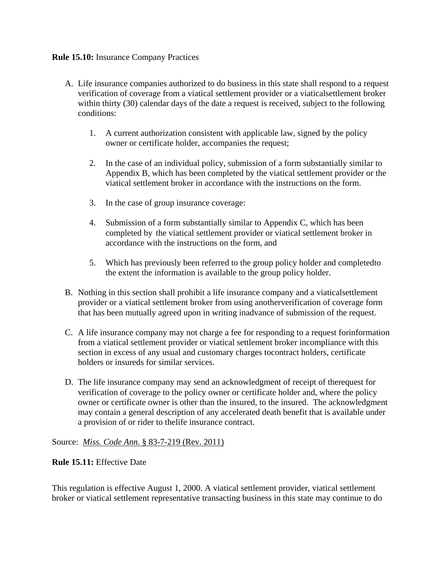## **Rule 15.10:** Insurance Company Practices

- A. Life insurance companies authorized to do business in this state shall respond to a request verification of coverage from a viatical settlement provider or a viaticalsettlement broker within thirty (30) calendar days of the date a request is received, subject to the following conditions:
	- 1. A current authorization consistent with applicable law, signed by the policy owner or certificate holder, accompanies the request;
	- 2. In the case of an individual policy, submission of a form substantially similar to Appendix B, which has been completed by the viatical settlement provider or the viatical settlement broker in accordance with the instructions on the form.
	- 3. In the case of group insurance coverage:
	- 4. Submission of a form substantially similar to Appendix C, which has been completed by the viatical settlement provider or viatical settlement broker in accordance with the instructions on the form, and
	- 5. Which has previously been referred to the group policy holder and completedto the extent the information is available to the group policy holder.
- B. Nothing in this section shall prohibit a life insurance company and a viaticalsettlement provider or a viatical settlement broker from using anotherverification of coverage form that has been mutually agreed upon in writing inadvance of submission of the request.
- C. A life insurance company may not charge a fee for responding to a request forinformation from a viatical settlement provider or viatical settlement broker incompliance with this section in excess of any usual and customary charges tocontract holders, certificate holders or insureds for similar services.
- D. The life insurance company may send an acknowledgment of receipt of therequest for verification of coverage to the policy owner or certificate holder and, where the policy owner or certificate owner is other than the insured, to the insured. The acknowledgment may contain a general description of any accelerated death benefit that is available under a provision of or rider to thelife insurance contract.

#### Source: *Miss. Code Ann.* § 83-7-219 (Rev. 2011)

#### **Rule 15.11:** Effective Date

This regulation is effective August 1, 2000. A viatical settlement provider, viatical settlement broker or viatical settlement representative transacting business in this state may continue to do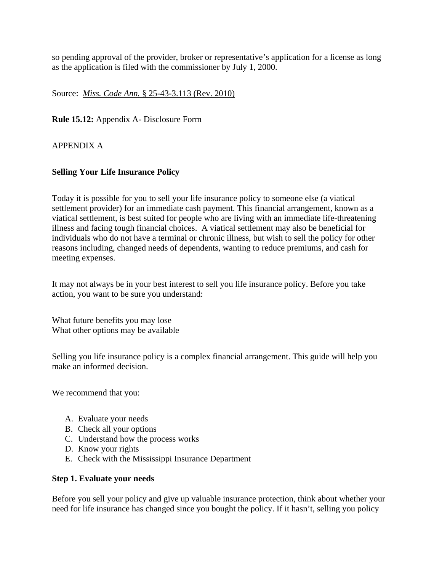so pending approval of the provider, broker or representative's application for a license as long as the application is filed with the commissioner by July 1, 2000.

Source: *Miss. Code Ann.* § 25-43-3.113 (Rev. 2010)

**Rule 15.12:** Appendix A- Disclosure Form

APPENDIX A

## **Selling Your Life Insurance Policy**

Today it is possible for you to sell your life insurance policy to someone else (a viatical settlement provider) for an immediate cash payment. This financial arrangement, known as a viatical settlement, is best suited for people who are living with an immediate life-threatening illness and facing tough financial choices. A viatical settlement may also be beneficial for individuals who do not have a terminal or chronic illness, but wish to sell the policy for other reasons including, changed needs of dependents, wanting to reduce premiums, and cash for meeting expenses.

It may not always be in your best interest to sell you life insurance policy. Before you take action, you want to be sure you understand:

What future benefits you may lose What other options may be available

Selling you life insurance policy is a complex financial arrangement. This guide will help you make an informed decision.

We recommend that you:

- A. Evaluate your needs
- B. Check all your options
- C. Understand how the process works
- D. Know your rights
- E. Check with the Mississippi Insurance Department

#### **Step 1. Evaluate your needs**

Before you sell your policy and give up valuable insurance protection, think about whether your need for life insurance has changed since you bought the policy. If it hasn't, selling you policy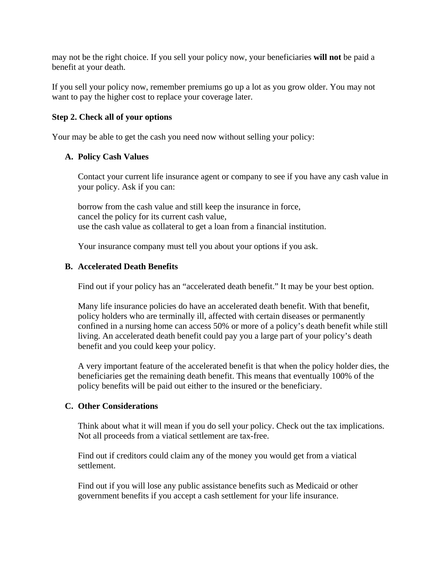may not be the right choice. If you sell your policy now, your beneficiaries **will not** be paid a benefit at your death.

If you sell your policy now, remember premiums go up a lot as you grow older. You may not want to pay the higher cost to replace your coverage later.

## **Step 2. Check all of your options**

Your may be able to get the cash you need now without selling your policy:

## **A. Policy Cash Values**

 Contact your current life insurance agent or company to see if you have any cash value in your policy. Ask if you can:

 borrow from the cash value and still keep the insurance in force, cancel the policy for its current cash value, use the cash value as collateral to get a loan from a financial institution.

Your insurance company must tell you about your options if you ask.

## **B. Accelerated Death Benefits**

Find out if your policy has an "accelerated death benefit." It may be your best option.

 Many life insurance policies do have an accelerated death benefit. With that benefit, policy holders who are terminally ill, affected with certain diseases or permanently confined in a nursing home can access 50% or more of a policy's death benefit while still living. An accelerated death benefit could pay you a large part of your policy's death benefit and you could keep your policy.

 A very important feature of the accelerated benefit is that when the policy holder dies, the beneficiaries get the remaining death benefit. This means that eventually 100% of the policy benefits will be paid out either to the insured or the beneficiary.

#### **C. Other Considerations**

 Think about what it will mean if you do sell your policy. Check out the tax implications. Not all proceeds from a viatical settlement are tax-free.

 Find out if creditors could claim any of the money you would get from a viatical settlement.

 Find out if you will lose any public assistance benefits such as Medicaid or other government benefits if you accept a cash settlement for your life insurance.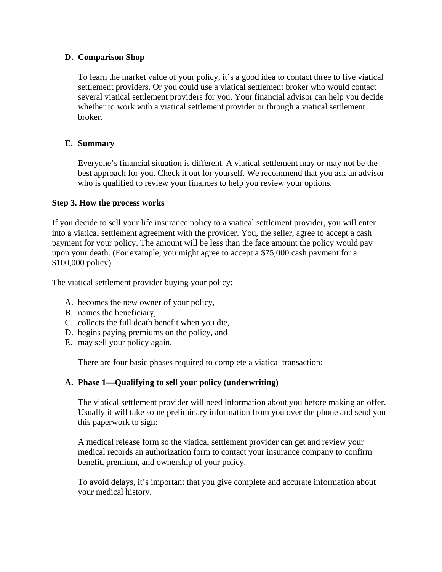## **D. Comparison Shop**

 To learn the market value of your policy, it's a good idea to contact three to five viatical settlement providers. Or you could use a viatical settlement broker who would contact several viatical settlement providers for you. Your financial advisor can help you decide whether to work with a viatical settlement provider or through a viatical settlement broker.

## **E. Summary**

 Everyone's financial situation is different. A viatical settlement may or may not be the best approach for you. Check it out for yourself. We recommend that you ask an advisor who is qualified to review your finances to help you review your options.

## **Step 3. How the process works**

If you decide to sell your life insurance policy to a viatical settlement provider, you will enter into a viatical settlement agreement with the provider. You, the seller, agree to accept a cash payment for your policy. The amount will be less than the face amount the policy would pay upon your death. (For example, you might agree to accept a \$75,000 cash payment for a \$100,000 policy)

The viatical settlement provider buying your policy:

- A. becomes the new owner of your policy,
- B. names the beneficiary,
- C. collects the full death benefit when you die,
- D. begins paying premiums on the policy, and
- E. may sell your policy again.

There are four basic phases required to complete a viatical transaction:

## **A. Phase 1—Qualifying to sell your policy (underwriting)**

 The viatical settlement provider will need information about you before making an offer. Usually it will take some preliminary information from you over the phone and send you this paperwork to sign:

 A medical release form so the viatical settlement provider can get and review your medical records an authorization form to contact your insurance company to confirm benefit, premium, and ownership of your policy.

 To avoid delays, it's important that you give complete and accurate information about your medical history.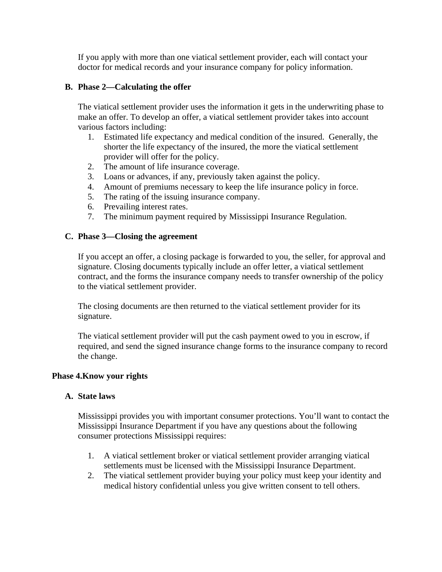If you apply with more than one viatical settlement provider, each will contact your doctor for medical records and your insurance company for policy information.

## **B. Phase 2—Calculating the offer**

 The viatical settlement provider uses the information it gets in the underwriting phase to make an offer. To develop an offer, a viatical settlement provider takes into account various factors including:

- 1. Estimated life expectancy and medical condition of the insured. Generally, the shorter the life expectancy of the insured, the more the viatical settlement provider will offer for the policy.
- 2. The amount of life insurance coverage.
- 3. Loans or advances, if any, previously taken against the policy.
- 4. Amount of premiums necessary to keep the life insurance policy in force.
- 5. The rating of the issuing insurance company.
- 6. Prevailing interest rates.
- 7. The minimum payment required by Mississippi Insurance Regulation.

## **C. Phase 3—Closing the agreement**

 If you accept an offer, a closing package is forwarded to you, the seller, for approval and signature. Closing documents typically include an offer letter, a viatical settlement contract, and the forms the insurance company needs to transfer ownership of the policy to the viatical settlement provider.

 The closing documents are then returned to the viatical settlement provider for its signature.

 The viatical settlement provider will put the cash payment owed to you in escrow, if required, and send the signed insurance change forms to the insurance company to record the change.

#### **Phase 4.Know your rights**

#### **A. State laws**

 Mississippi provides you with important consumer protections. You'll want to contact the Mississippi Insurance Department if you have any questions about the following consumer protections Mississippi requires:

- 1. A viatical settlement broker or viatical settlement provider arranging viatical settlements must be licensed with the Mississippi Insurance Department.
- 2. The viatical settlement provider buying your policy must keep your identity and medical history confidential unless you give written consent to tell others.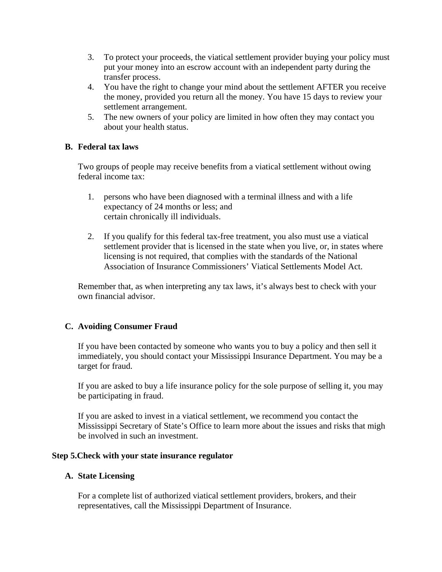- 3. To protect your proceeds, the viatical settlement provider buying your policy must put your money into an escrow account with an independent party during the transfer process.
- 4. You have the right to change your mind about the settlement AFTER you receive the money, provided you return all the money. You have 15 days to review your settlement arrangement.
- 5. The new owners of your policy are limited in how often they may contact you about your health status.

## **B. Federal tax laws**

 Two groups of people may receive benefits from a viatical settlement without owing federal income tax:

- 1. persons who have been diagnosed with a terminal illness and with a life expectancy of 24 months or less; and certain chronically ill individuals.
- 2. If you qualify for this federal tax-free treatment, you also must use a viatical settlement provider that is licensed in the state when you live, or, in states where licensing is not required, that complies with the standards of the National Association of Insurance Commissioners' Viatical Settlements Model Act.

 Remember that, as when interpreting any tax laws, it's always best to check with your own financial advisor.

#### **C. Avoiding Consumer Fraud**

 If you have been contacted by someone who wants you to buy a policy and then sell it immediately, you should contact your Mississippi Insurance Department. You may be a target for fraud.

 If you are asked to buy a life insurance policy for the sole purpose of selling it, you may be participating in fraud.

 If you are asked to invest in a viatical settlement, we recommend you contact the Mississippi Secretary of State's Office to learn more about the issues and risks that migh be involved in such an investment.

#### **Step 5.Check with your state insurance regulator**

#### **A. State Licensing**

 For a complete list of authorized viatical settlement providers, brokers, and their representatives, call the Mississippi Department of Insurance.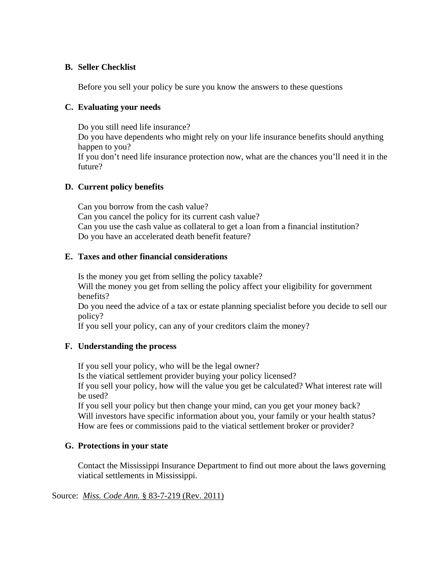## **B. Seller Checklist**

Before you sell your policy be sure you know the answers to these questions

## **C. Evaluating your needs**

 Do you still need life insurance? Do you have dependents who might rely on your life insurance benefits should anything happen to you? If you don't need life insurance protection now, what are the chances you'll need it in the future?

## **D. Current policy benefits**

 Can you borrow from the cash value? Can you cancel the policy for its current cash value? Can you use the cash value as collateral to get a loan from a financial institution? Do you have an accelerated death benefit feature?

## **E. Taxes and other financial considerations**

Is the money you get from selling the policy taxable?

Will the money you get from selling the policy affect your eligibility for government benefits?

 Do you need the advice of a tax or estate planning specialist before you decide to sell our policy?

If you sell your policy, can any of your creditors claim the money?

## **F. Understanding the process**

If you sell your policy, who will be the legal owner?

Is the viatical settlement provider buying your policy licensed?

 If you sell your policy, how will the value you get be calculated? What interest rate will be used?

 If you sell your policy but then change your mind, can you get your money back? Will investors have specific information about you, your family or your health status? How are fees or commissions paid to the viatical settlement broker or provider?

## **G. Protections in your state**

 Contact the Mississippi Insurance Department to find out more about the laws governing viatical settlements in Mississippi.

#### Source: *Miss. Code Ann.* § 83-7-219 (Rev. 2011)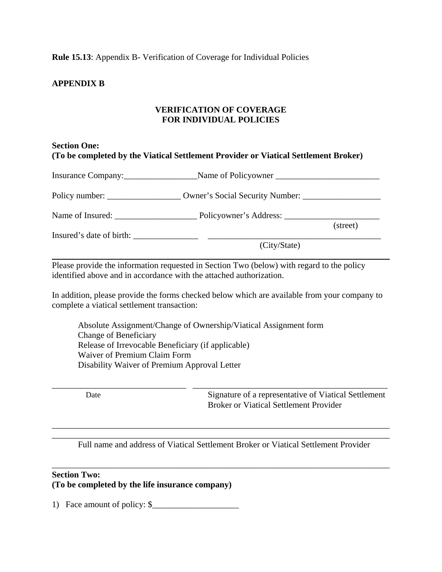**Rule 15.13**: Appendix B- Verification of Coverage for Individual Policies

## **APPENDIX B**

#### **VERIFICATION OF COVERAGE FOR INDIVIDUAL POLICIES**

## **Section One: (To be completed by the Viatical Settlement Provider or Viatical Settlement Broker)**

| Insurance Company: Name of Policyowner   |          |
|------------------------------------------|----------|
|                                          |          |
|                                          | (street) |
| Insured's date of birth:<br>(City/State) |          |

Please provide the information requested in Section Two (below) with regard to the policy identified above and in accordance with the attached authorization.

In addition, please provide the forms checked below which are available from your company to complete a viatical settlement transaction:

 Absolute Assignment/Change of Ownership/Viatical Assignment form Change of Beneficiary Release of Irrevocable Beneficiary (if applicable) Waiver of Premium Claim Form Disability Waiver of Premium Approval Letter

Date Signature of a representative of Viatical Settlement Broker or Viatical Settlement Provider

\_\_\_\_\_\_\_\_\_\_\_\_\_\_\_\_\_\_\_\_\_\_\_\_\_\_\_\_\_\_\_\_\_\_\_\_\_\_\_\_\_\_\_\_\_\_\_\_\_\_\_\_\_\_\_\_\_\_\_\_\_\_\_\_\_\_\_\_\_\_\_\_\_\_\_\_\_\_ Full name and address of Viatical Settlement Broker or Viatical Settlement Provider

\_\_\_\_\_\_\_\_\_\_\_\_\_\_\_\_\_\_\_\_\_\_\_\_\_\_\_\_\_\_\_\_\_\_\_\_\_\_\_\_\_\_\_\_\_\_\_\_\_\_\_\_\_\_\_\_\_\_\_\_\_\_\_\_\_\_\_\_\_\_\_\_\_\_\_\_\_\_

\_\_\_\_\_\_\_\_\_\_\_\_\_\_\_\_\_\_\_\_\_\_\_\_\_\_\_\_\_\_\_\_\_\_\_\_\_\_\_\_\_\_\_\_\_\_\_\_\_\_\_\_\_\_\_\_\_\_\_\_\_\_\_\_\_\_\_\_\_\_\_\_\_\_\_\_\_\_

\_\_\_\_\_\_\_\_\_\_\_\_\_\_\_\_\_\_\_\_\_\_\_\_\_\_\_\_\_\_\_ \_\_\_\_\_\_\_\_\_\_\_\_\_\_\_\_\_\_\_\_\_\_\_\_\_\_\_\_\_\_\_\_\_\_\_\_\_\_\_\_\_\_\_\_\_

#### **Section Two:**

**(To be completed by the life insurance company)** 

1) Face amount of policy: \$\_\_\_\_\_\_\_\_\_\_\_\_\_\_\_\_\_\_\_\_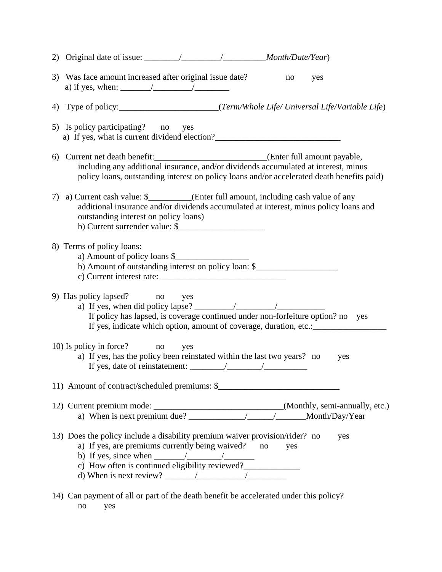|    | 3) Was face amount increased after original issue date?<br>no<br>yes                                                                                                                                                                                                                                                                                                                                       |
|----|------------------------------------------------------------------------------------------------------------------------------------------------------------------------------------------------------------------------------------------------------------------------------------------------------------------------------------------------------------------------------------------------------------|
|    |                                                                                                                                                                                                                                                                                                                                                                                                            |
|    | 5) Is policy participating? no yes<br>a) If yes, what is current dividend election?                                                                                                                                                                                                                                                                                                                        |
|    | 6) Current net death benefit: _________________________________(Enter full amount payable,<br>including any additional insurance, and/or dividends accumulated at interest, minus<br>policy loans, outstanding interest on policy loans and/or accelerated death benefits paid)                                                                                                                            |
| 7) | a) Current cash value: \$_________(Enter full amount, including cash value of any<br>additional insurance and/or dividends accumulated at interest, minus policy loans and<br>outstanding interest on policy loans)<br>b) Current surrender value: \$                                                                                                                                                      |
|    | 8) Terms of policy loans:<br>a) Amount of policy loans \$<br>b) Amount of outstanding interest on policy loan: \$<br>c) Current interest rate: $\frac{1}{2}$ and $\frac{1}{2}$ and $\frac{1}{2}$ and $\frac{1}{2}$ and $\frac{1}{2}$ and $\frac{1}{2}$ and $\frac{1}{2}$ and $\frac{1}{2}$ and $\frac{1}{2}$ and $\frac{1}{2}$ and $\frac{1}{2}$ and $\frac{1}{2}$ and $\frac{1}{2}$ and $\frac{1}{2}$ and |
|    | 9) Has policy lapsed? no yes<br>a) If yes, when did policy lapse? $\frac{1}{2}$ / $\frac{1}{2}$<br>If policy has lapsed, is coverage continued under non-forfeiture option? no yes<br>If yes, indicate which option, amount of coverage, duration, etc.: ______________                                                                                                                                    |
|    | 10) Is policy in force? no yes<br>a) If yes, has the policy been reinstated within the last two years? no<br>yes                                                                                                                                                                                                                                                                                           |
|    | 11) Amount of contract/scheduled premiums: \$                                                                                                                                                                                                                                                                                                                                                              |
|    |                                                                                                                                                                                                                                                                                                                                                                                                            |
|    | 13) Does the policy include a disability premium waiver provision/rider? no<br>yes<br>a) If yes, are premiums currently being waived? no<br>yes<br>b) If yes, since when $\frac{\sqrt{2\pi}}{2\pi}$<br>c) How often is continued eligibility reviewed?_____________                                                                                                                                        |
|    | 14) Can payment of all or part of the death benefit be accelerated under this policy?                                                                                                                                                                                                                                                                                                                      |

no yes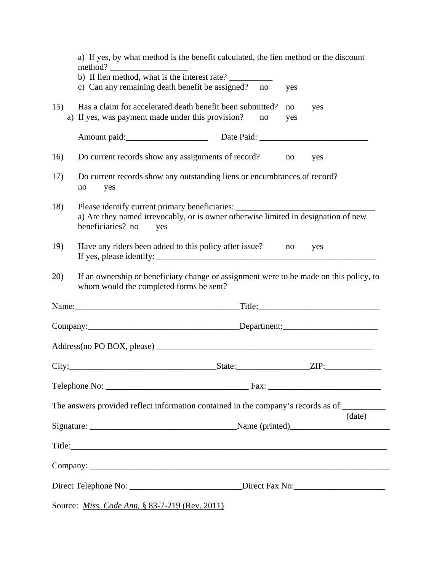|     | Direct Telephone No: ___________________________Direct Fax No:___________________                                                                                                                  |        |
|-----|----------------------------------------------------------------------------------------------------------------------------------------------------------------------------------------------------|--------|
|     |                                                                                                                                                                                                    |        |
|     |                                                                                                                                                                                                    |        |
|     | Title:                                                                                                                                                                                             |        |
|     |                                                                                                                                                                                                    |        |
|     | The answers provided reflect information contained in the company's records as of:                                                                                                                 | (date) |
|     |                                                                                                                                                                                                    |        |
|     |                                                                                                                                                                                                    |        |
|     |                                                                                                                                                                                                    |        |
|     |                                                                                                                                                                                                    |        |
|     |                                                                                                                                                                                                    |        |
| 20) | If an ownership or beneficiary change or assignment were to be made on this policy, to<br>whom would the completed forms be sent?                                                                  |        |
| 19) | Have any riders been added to this policy after issue?<br>no<br>yes                                                                                                                                |        |
| 18) | Please identify current primary beneficiaries: _________________________________<br>a) Are they named irrevocably, or is owner otherwise limited in designation of new<br>beneficiaries? no<br>yes |        |
| 17) | Do current records show any outstanding liens or encumbrances of record?<br>no<br>yes                                                                                                              |        |
| 16) | Do current records show any assignments of record?<br>no<br>yes                                                                                                                                    |        |
|     | Amount paid: Date Paid: Date Paid:                                                                                                                                                                 |        |
| 15) | Has a claim for accelerated death benefit been submitted?<br>no<br>yes<br>a) If yes, was payment made under this provision?<br>no<br>yes                                                           |        |
|     | c) Can any remaining death benefit be assigned? no<br>yes                                                                                                                                          |        |
|     | method?<br>b) If lien method, what is the interest rate?                                                                                                                                           |        |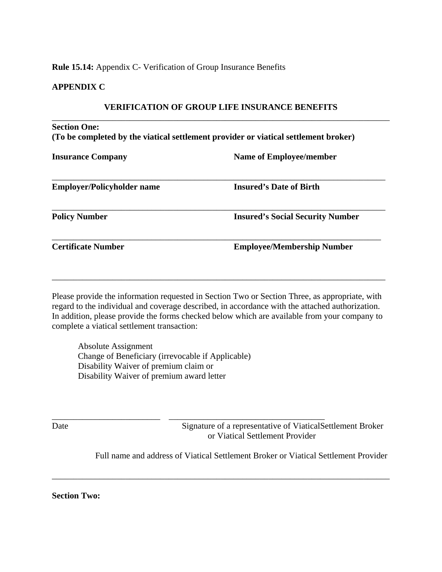#### **Rule 15.14:** Appendix C- Verification of Group Insurance Benefits

#### **APPENDIX C**

#### **VERIFICATION OF GROUP LIFE INSURANCE BENEFITS**

# \_\_\_\_\_\_\_\_\_\_\_\_\_\_\_\_\_\_\_\_\_\_\_\_\_\_\_\_\_\_\_\_\_\_\_\_\_\_\_\_\_\_\_\_\_\_\_\_\_\_\_\_\_\_\_\_\_\_\_\_\_\_\_\_\_\_\_\_\_\_\_\_\_\_\_\_\_\_ **Section One: (To be completed by the viatical settlement provider or viatical settlement broker)**

**Insurance Company Name of Employee/member** 

| <b>Employer/Policyholder name</b> | <b>Insured's Date of Birth</b>          |
|-----------------------------------|-----------------------------------------|
| <b>Policy Number</b>              | <b>Insured's Social Security Number</b> |
| <b>Certificate Number</b>         | <b>Employee/Membership Number</b>       |

Please provide the information requested in Section Two or Section Three, as appropriate, with regard to the individual and coverage described, in accordance with the attached authorization. In addition, please provide the forms checked below which are available from your company to complete a viatical settlement transaction:

\_\_\_\_\_\_\_\_\_\_\_\_\_\_\_\_\_\_\_\_\_\_\_\_\_\_\_\_\_\_\_\_\_\_\_\_\_\_\_\_\_\_\_\_\_\_\_\_\_\_\_\_\_\_\_\_\_\_\_\_\_\_\_\_\_\_\_\_\_\_\_\_\_\_\_\_\_

 Absolute Assignment Change of Beneficiary (irrevocable if Applicable) Disability Waiver of premium claim or Disability Waiver of premium award letter

\_\_\_\_\_\_\_\_\_\_\_\_\_\_\_\_\_\_\_\_\_\_\_\_\_ \_\_\_\_\_\_\_\_\_\_\_\_\_\_\_\_\_\_\_\_\_\_\_\_\_\_\_\_\_\_\_\_\_\_\_\_

Date Signature of a representative of ViaticalSettlement Broker or Viatical Settlement Provider

Full name and address of Viatical Settlement Broker or Viatical Settlement Provider

\_\_\_\_\_\_\_\_\_\_\_\_\_\_\_\_\_\_\_\_\_\_\_\_\_\_\_\_\_\_\_\_\_\_\_\_\_\_\_\_\_\_\_\_\_\_\_\_\_\_\_\_\_\_\_\_\_\_\_\_\_\_\_\_\_\_\_\_\_\_\_\_\_\_\_\_\_\_

**Section Two:**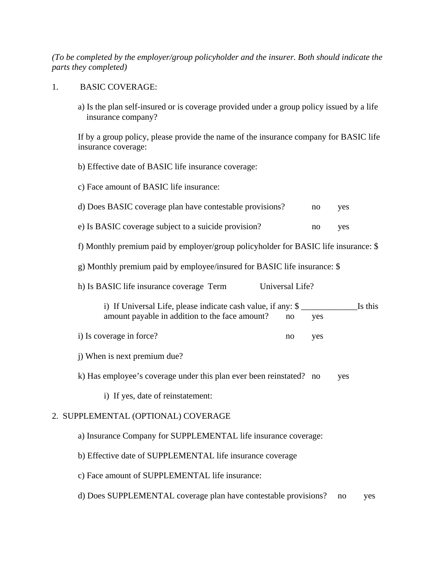*(To be completed by the employer/group policyholder and the insurer. Both should indicate the parts they completed)* 

#### 1. BASIC COVERAGE:

 a) Is the plan self-insured or is coverage provided under a group policy issued by a life insurance company?

If by a group policy, please provide the name of the insurance company for BASIC life insurance coverage:

b) Effective date of BASIC life insurance coverage:

c) Face amount of BASIC life insurance:

| d) Does BASIC coverage plan have contestable provisions? | no | yes |
|----------------------------------------------------------|----|-----|
|                                                          |    |     |

- e) Is BASIC coverage subject to a suicide provision? no yes
- f) Monthly premium paid by employer/group policyholder for BASIC life insurance: \$
- g) Monthly premium paid by employee/insured for BASIC life insurance: \$

| h) Is BASIC life insurance coverage Term |  | Universal Life? |
|------------------------------------------|--|-----------------|
|------------------------------------------|--|-----------------|

| i) If Universal Life, please indicate cash value, if any: \$ |    |            | Is this |
|--------------------------------------------------------------|----|------------|---------|
| amount payable in addition to the face amount?               | no | <b>ves</b> |         |

- i) Is coverage in force? no yes
- j) When is next premium due?

k) Has employee's coverage under this plan ever been reinstated? no yes

i) If yes, date of reinstatement:

## 2. SUPPLEMENTAL (OPTIONAL) COVERAGE

- a) Insurance Company for SUPPLEMENTAL life insurance coverage:
- b) Effective date of SUPPLEMENTAL life insurance coverage
- c) Face amount of SUPPLEMENTAL life insurance:
- d) Does SUPPLEMENTAL coverage plan have contestable provisions? no yes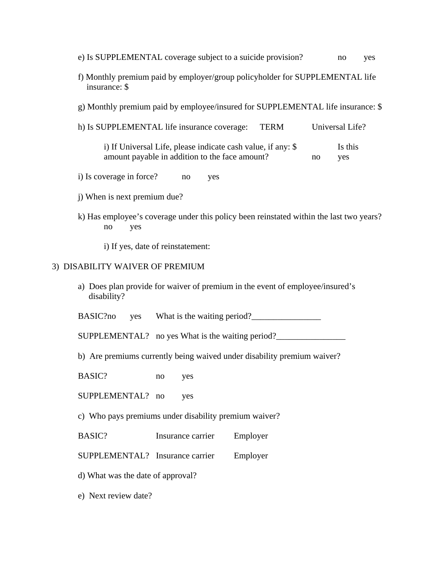- e) Is SUPPLEMENTAL coverage subject to a suicide provision? no yes
- f) Monthly premium paid by employer/group policyholder for SUPPLEMENTAL life insurance: \$
- g) Monthly premium paid by employee/insured for SUPPLEMENTAL life insurance: \$
- h) Is SUPPLEMENTAL life insurance coverage: TERM Universal Life?
	- i) If Universal Life, please indicate cash value, if any: \$ Is this amount payable in addition to the face amount? no yes
- i) Is coverage in force? no yes
- j) When is next premium due?
- k) Has employee's coverage under this policy been reinstated within the last two years? no yes
	- i) If yes, date of reinstatement:

#### 3) DISABILITY WAIVER OF PREMIUM

 a) Does plan provide for waiver of premium in the event of employee/insured's disability?

BASIC?no yes What is the waiting period?\_\_\_\_\_\_\_\_\_\_\_\_\_\_\_\_

SUPPLEMENTAL? no yes What is the waiting period?\_\_\_\_\_\_\_\_\_\_\_\_\_\_\_\_\_\_\_\_\_\_\_\_\_\_\_\_\_\_\_\_

b) Are premiums currently being waived under disability premium waiver?

BASIC? no yes

SUPPLEMENTAL? no yes

c) Who pays premiums under disability premium waiver?

BASIC? Insurance carrier Employer

SUPPLEMENTAL? Insurance carrier Employer

d) What was the date of approval?

e) Next review date?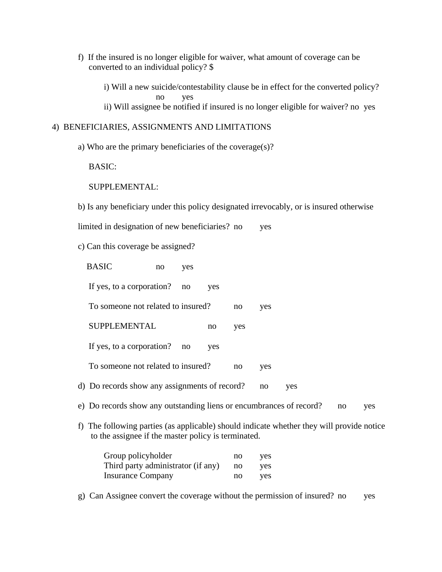f) If the insured is no longer eligible for waiver, what amount of coverage can be converted to an individual policy? \$

 i) Will a new suicide/contestability clause be in effect for the converted policy? no yes ii) Will assignee be notified if insured is no longer eligible for waiver? no yes

## 4) BENEFICIARIES, ASSIGNMENTS AND LIMITATIONS

a) Who are the primary beneficiaries of the coverage(s)?

BASIC:

SUPPLEMENTAL:

b) Is any beneficiary under this policy designated irrevocably, or is insured otherwise

limited in designation of new beneficiaries? no yes

c) Can this coverage be assigned?

|    | <b>BASIC</b>                                                                                                                                  | no | yes |     |     |     |     |    |     |
|----|-----------------------------------------------------------------------------------------------------------------------------------------------|----|-----|-----|-----|-----|-----|----|-----|
|    | If yes, to a corporation?                                                                                                                     |    | no  | yes |     |     |     |    |     |
|    | To someone not related to insured?                                                                                                            |    |     |     | no  | yes |     |    |     |
|    | <b>SUPPLEMENTAL</b>                                                                                                                           |    |     | no  | yes |     |     |    |     |
|    | If yes, to a corporation?                                                                                                                     |    | no  | yes |     |     |     |    |     |
|    | To someone not related to insured?                                                                                                            |    |     |     | no  | yes |     |    |     |
|    | d) Do records show any assignments of record?                                                                                                 |    |     |     |     | no  | yes |    |     |
|    | e) Do records show any outstanding liens or encumbrances of record?                                                                           |    |     |     |     |     |     | no | yes |
| f) | The following parties (as applicable) should indicate whether they will provide notice<br>to the assignee if the master policy is terminated. |    |     |     |     |     |     |    |     |

| Group policyholder                 | no | yes  |
|------------------------------------|----|------|
| Third party administrator (if any) | no | yes. |
| Insurance Company                  | no | yes  |

g) Can Assignee convert the coverage without the permission of insured? no yes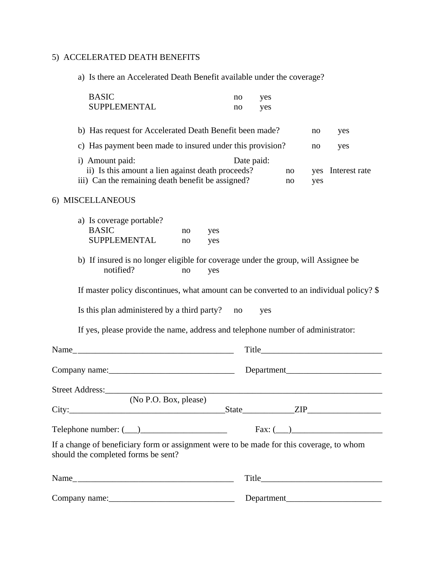# 5) ACCELERATED DEATH BENEFITS

a) Is there an Accelerated Death Benefit available under the coverage?

| <b>BASIC</b><br>SUPPLEMENTAL                                                                                                    |                                                           |            | no<br>no   | yes<br>yes |          |            |                                                   |
|---------------------------------------------------------------------------------------------------------------------------------|-----------------------------------------------------------|------------|------------|------------|----------|------------|---------------------------------------------------|
| b) Has request for Accelerated Death Benefit been made?                                                                         |                                                           |            |            |            |          | no         | yes                                               |
|                                                                                                                                 | c) Has payment been made to insured under this provision? |            |            |            |          | no         | yes                                               |
| i) Amount paid:<br>ii) Is this amount a lien against death proceeds?<br>iii) Can the remaining death benefit be assigned?       |                                                           |            | Date paid: |            | no<br>no | yes<br>yes | Interest rate                                     |
| 6) MISCELLANEOUS                                                                                                                |                                                           |            |            |            |          |            |                                                   |
| a) Is coverage portable?<br><b>BASIC</b><br><b>SUPPLEMENTAL</b>                                                                 | no<br>no                                                  | yes<br>yes |            |            |          |            |                                                   |
| b) If insured is no longer eligible for coverage under the group, will Assignee be<br>notified?                                 | no                                                        | yes        |            |            |          |            |                                                   |
| If master policy discontinues, what amount can be converted to an individual policy? \$                                         |                                                           |            |            |            |          |            |                                                   |
| Is this plan administered by a third party? no                                                                                  |                                                           |            |            | yes        |          |            |                                                   |
| If yes, please provide the name, address and telephone number of administrator:                                                 |                                                           |            |            |            |          |            |                                                   |
|                                                                                                                                 |                                                           |            |            |            |          |            |                                                   |
|                                                                                                                                 |                                                           |            |            |            |          |            |                                                   |
| Street Address:_______                                                                                                          |                                                           |            |            |            |          |            | <u> 1989 - Jan James James Sandarík (</u> † 1920) |
| (No P.O. Box, please)                                                                                                           |                                                           |            |            |            |          |            | $State$ $ZIP$                                     |
| Telephone number: $(\_\_)$                                                                                                      |                                                           |            |            |            |          |            | Fax: (                                            |
| If a change of beneficiary form or assignment were to be made for this coverage, to whom<br>should the completed forms be sent? |                                                           |            |            |            |          |            |                                                   |
|                                                                                                                                 |                                                           |            |            |            |          |            |                                                   |
|                                                                                                                                 |                                                           |            |            |            |          |            |                                                   |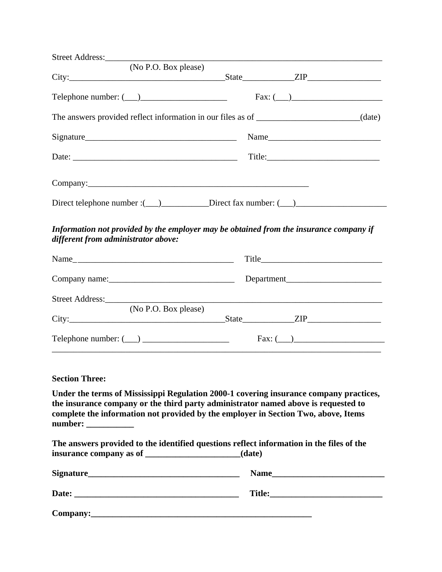|                                     | (No P.O. Box please)                                                                                                                                                                                                                                                                                                                                                                                |                                                                                                                                                                                                                                                                    |                         |  |
|-------------------------------------|-----------------------------------------------------------------------------------------------------------------------------------------------------------------------------------------------------------------------------------------------------------------------------------------------------------------------------------------------------------------------------------------------------|--------------------------------------------------------------------------------------------------------------------------------------------------------------------------------------------------------------------------------------------------------------------|-------------------------|--|
|                                     |                                                                                                                                                                                                                                                                                                                                                                                                     |                                                                                                                                                                                                                                                                    |                         |  |
|                                     | Telephone number: $(\_\_)$                                                                                                                                                                                                                                                                                                                                                                          |                                                                                                                                                                                                                                                                    | $\text{Fax: } (\_\_\_)$ |  |
|                                     |                                                                                                                                                                                                                                                                                                                                                                                                     | The answers provided reflect information in our files as of _____________________(date)                                                                                                                                                                            |                         |  |
|                                     |                                                                                                                                                                                                                                                                                                                                                                                                     |                                                                                                                                                                                                                                                                    | Name                    |  |
|                                     | Date: $\frac{1}{\sqrt{1-\frac{1}{2}}}\left\{ \frac{1}{2} + \frac{1}{2} + \frac{1}{2} + \frac{1}{2} + \frac{1}{2} + \frac{1}{2} + \frac{1}{2} + \frac{1}{2} + \frac{1}{2} + \frac{1}{2} + \frac{1}{2} + \frac{1}{2} + \frac{1}{2} + \frac{1}{2} + \frac{1}{2} + \frac{1}{2} + \frac{1}{2} + \frac{1}{2} + \frac{1}{2} + \frac{1}{2} + \frac{1}{2} + \frac{1}{2} + \frac{1}{2} + \frac{1}{2} + \frac$ |                                                                                                                                                                                                                                                                    |                         |  |
|                                     |                                                                                                                                                                                                                                                                                                                                                                                                     |                                                                                                                                                                                                                                                                    |                         |  |
|                                     |                                                                                                                                                                                                                                                                                                                                                                                                     | Direct telephone number :(___)___________Direct fax number: (___)________________                                                                                                                                                                                  |                         |  |
| different from administrator above: |                                                                                                                                                                                                                                                                                                                                                                                                     | Information not provided by the employer may be obtained from the insurance company if                                                                                                                                                                             |                         |  |
|                                     |                                                                                                                                                                                                                                                                                                                                                                                                     |                                                                                                                                                                                                                                                                    |                         |  |
|                                     |                                                                                                                                                                                                                                                                                                                                                                                                     |                                                                                                                                                                                                                                                                    | Department              |  |
| Street Address:                     |                                                                                                                                                                                                                                                                                                                                                                                                     |                                                                                                                                                                                                                                                                    |                         |  |
|                                     | (No P.O. Box please)                                                                                                                                                                                                                                                                                                                                                                                |                                                                                                                                                                                                                                                                    |                         |  |
|                                     |                                                                                                                                                                                                                                                                                                                                                                                                     |                                                                                                                                                                                                                                                                    |                         |  |
|                                     |                                                                                                                                                                                                                                                                                                                                                                                                     |                                                                                                                                                                                                                                                                    |                         |  |
|                                     |                                                                                                                                                                                                                                                                                                                                                                                                     |                                                                                                                                                                                                                                                                    |                         |  |
| <b>Section Three:</b>               |                                                                                                                                                                                                                                                                                                                                                                                                     |                                                                                                                                                                                                                                                                    |                         |  |
| number:                             |                                                                                                                                                                                                                                                                                                                                                                                                     | Under the terms of Mississippi Regulation 2000-1 covering insurance company practices,<br>the insurance company or the third party administrator named above is requested to<br>complete the information not provided by the employer in Section Two, above, Items |                         |  |
|                                     |                                                                                                                                                                                                                                                                                                                                                                                                     | The answers provided to the identified questions reflect information in the files of the                                                                                                                                                                           |                         |  |
| Signature_                          | <u> 2000 - 2000 - 2000 - 2000 - 2000 - 2000 - 2000 - 2000 - 2000 - 2000 - 2000 - 2000 - 2000 - 2000 - 2000 - 200</u>                                                                                                                                                                                                                                                                                |                                                                                                                                                                                                                                                                    |                         |  |

|                    | 7:41. |  |
|--------------------|-------|--|
| <b>Date:</b><br>__ | .     |  |
|                    |       |  |
|                    |       |  |

**Company:\_\_\_\_\_\_\_\_\_\_\_\_\_\_\_\_\_\_\_\_\_\_\_\_\_\_\_\_\_\_\_\_\_\_\_\_\_\_\_\_\_\_\_\_\_\_\_\_\_\_\_**